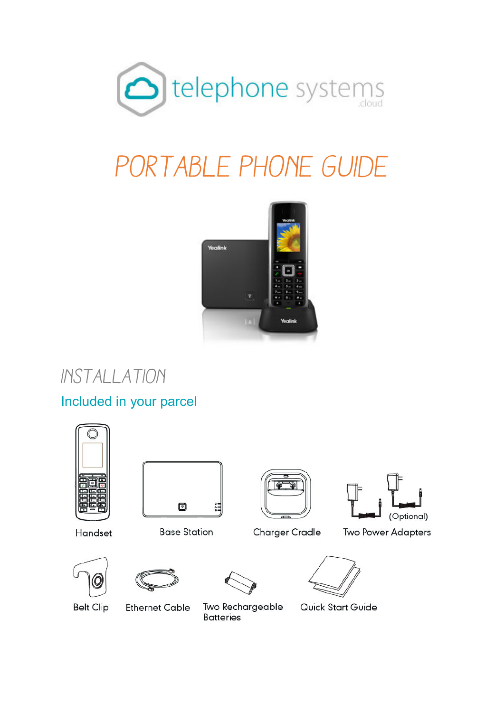

# *Portable Phone Guide*



*Installation* 

Included in your parcel





Handset

**Base Station** 

**Charger Cradle** 





**Two Power Adapters** 



**Belt Clip** 



**Ethernet Cable** 



Two Rechargeable

**Batteries** 

Quick Start Guide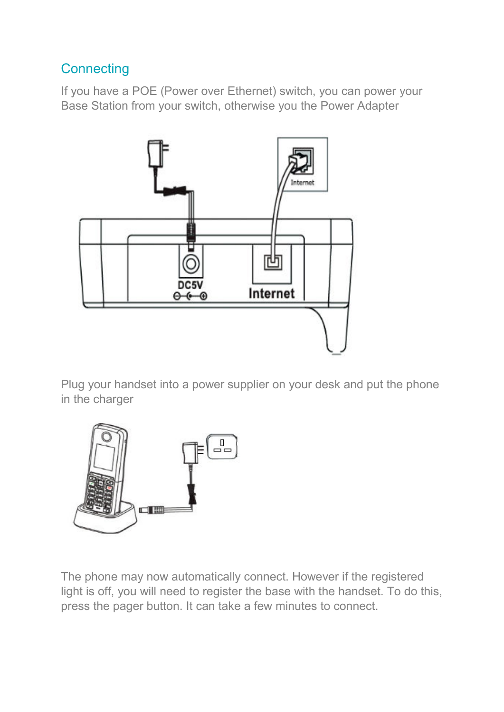## **Connecting**

If you have a POE (Power over Ethernet) switch, you can power your Base Station from your switch, otherwise you the Power Adapter



Plug your handset into a power supplier on your desk and put the phone in the charger



The phone may now automatically connect. However if the registered light is off, you will need to register the base with the handset. To do this, press the pager button. It can take a few minutes to connect.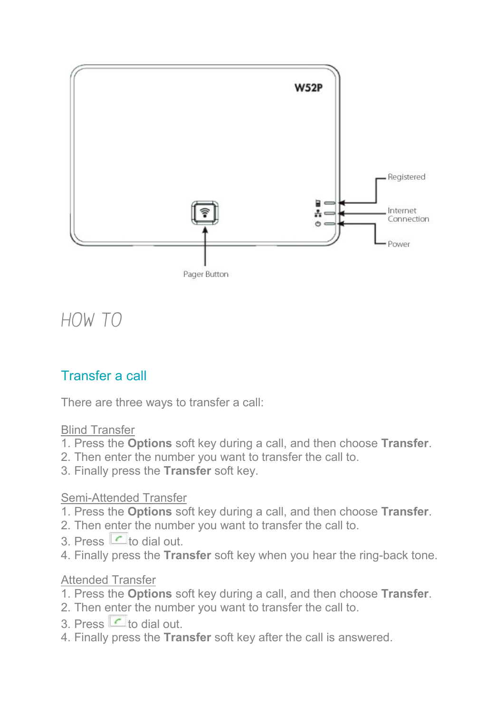

# *How to*

## Transfer a call

There are three ways to transfer a call:

#### Blind Transfer

- 1. Press the **Options** soft key during a call, and then choose **Transfer**.
- 2. Then enter the number you want to transfer the call to.
- 3. Finally press the **Transfer** soft key.

#### Semi-Attended Transfer

- 1. Press the **Options** soft key during a call, and then choose **Transfer**.
- 2. Then enter the number you want to transfer the call to.
- 3. Press  $\Box$  to dial out.
- 4. Finally press the **Transfer** soft key when you hear the ring-back tone.

#### Attended Transfer

- 1. Press the **Options** soft key during a call, and then choose **Transfer**.
- 2. Then enter the number you want to transfer the call to.
- 3. Press  $\Box$  to dial out.
- 4. Finally press the **Transfer** soft key after the call is answered.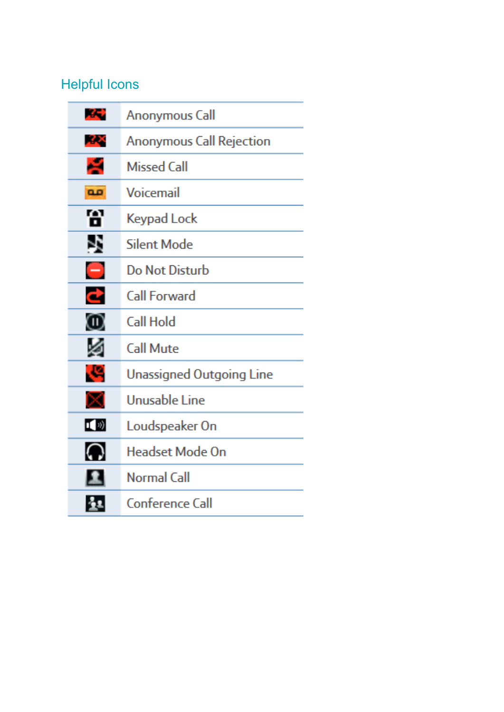# Helpful Icons

| GC)                      | Anonymous Call                  |
|--------------------------|---------------------------------|
| ÆХ                       | <b>Anonymous Call Rejection</b> |
| ÷                        | <b>Missed Call</b>              |
| <b>QD</b>                | Voicemail                       |
| М<br>о                   | Keypad Lock                     |
| P,                       | Silent Mode                     |
| $\overline{\phantom{0}}$ | <b>Do Not Disturb</b>           |
| e                        | Call Forward                    |
| ⑩                        | Call Hold                       |
| ø                        | <b>Call Mute</b>                |
| J.                       | Unassigned Outgoing Line        |
| ×                        | Unusable Line                   |
| $\mathbf{I}(\mathbf{v})$ | Loudspeaker On                  |
| വ                        | <b>Headset Mode On</b>          |
| £.                       | Normal Call                     |
| 21                       | Conference Call                 |